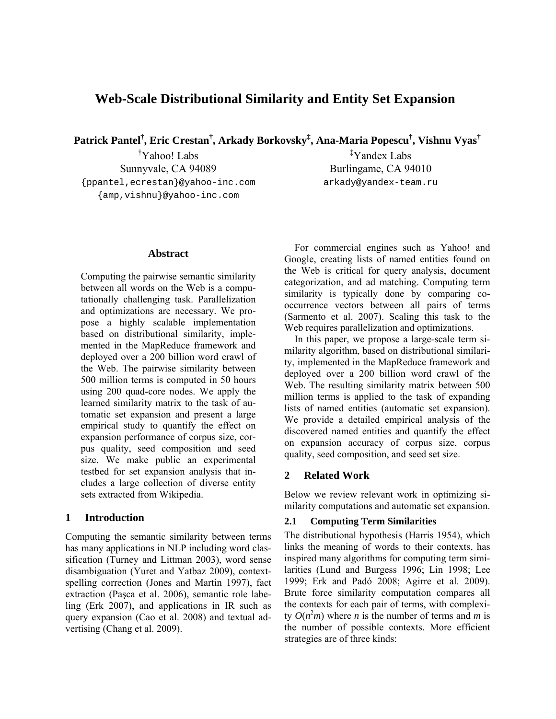# **Web-Scale Distributional Similarity and Entity Set Expansion**

**Patrick Pantel† , Eric Crestan† , Arkady Borkovsky‡ , Ana-Maria Popescu† , Vishnu Vyas†**

† Yahoo! Labs Sunnyvale, CA 94089 {ppantel,ecrestan}@yahoo-inc.com {amp,vishnu}@yahoo-inc.com

‡ Yandex Labs Burlingame, CA 94010 arkady@yandex-team.ru

### **Abstract**

Computing the pairwise semantic similarity between all words on the Web is a computationally challenging task. Parallelization and optimizations are necessary. We propose a highly scalable implementation based on distributional similarity, implemented in the MapReduce framework and deployed over a 200 billion word crawl of the Web. The pairwise similarity between 500 million terms is computed in 50 hours using 200 quad-core nodes. We apply the learned similarity matrix to the task of automatic set expansion and present a large empirical study to quantify the effect on expansion performance of corpus size, corpus quality, seed composition and seed size. We make public an experimental testbed for set expansion analysis that includes a large collection of diverse entity sets extracted from Wikipedia.

# **1 Introduction**

Computing the semantic similarity between terms has many applications in NLP including word classification (Turney and Littman 2003), word sense disambiguation (Yuret and Yatbaz 2009), contextspelling correction (Jones and Martin 1997), fact extraction (Paşca et al. 2006), semantic role labeling (Erk 2007), and applications in IR such as query expansion (Cao et al. 2008) and textual advertising (Chang et al. 2009).

For commercial engines such as Yahoo! and Google, creating lists of named entities found on the Web is critical for query analysis, document categorization, and ad matching. Computing term similarity is typically done by comparing cooccurrence vectors between all pairs of terms (Sarmento et al. 2007). Scaling this task to the Web requires parallelization and optimizations.

In this paper, we propose a large-scale term similarity algorithm, based on distributional similarity, implemented in the MapReduce framework and deployed over a 200 billion word crawl of the Web. The resulting similarity matrix between 500 million terms is applied to the task of expanding lists of named entities (automatic set expansion). We provide a detailed empirical analysis of the discovered named entities and quantify the effect on expansion accuracy of corpus size, corpus quality, seed composition, and seed set size.

# **2 Related Work**

Below we review relevant work in optimizing similarity computations and automatic set expansion.

### **2.1 Computing Term Similarities**

The distributional hypothesis (Harris 1954), which links the meaning of words to their contexts, has inspired many algorithms for computing term similarities (Lund and Burgess 1996; Lin 1998; Lee 1999; Erk and Padó 2008; Agirre et al. 2009). Brute force similarity computation compares all the contexts for each pair of terms, with complexity  $O(n^2m)$  where *n* is the number of terms and *m* is the number of possible contexts. More efficient strategies are of three kinds: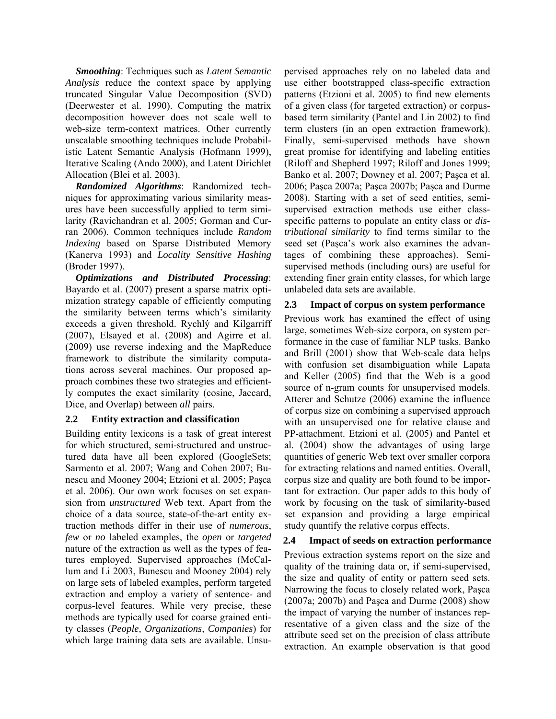*Smoothing*: Techniques such as *Latent Semantic Analysis* reduce the context space by applying truncated Singular Value Decomposition (SVD) (Deerwester et al. 1990). Computing the matrix decomposition however does not scale well to web-size term-context matrices. Other currently unscalable smoothing techniques include Probabilistic Latent Semantic Analysis (Hofmann 1999), Iterative Scaling (Ando 2000), and Latent Dirichlet Allocation (Blei et al. 2003).

*Randomized Algorithms*: Randomized techniques for approximating various similarity measures have been successfully applied to term similarity (Ravichandran et al. 2005; Gorman and Curran 2006). Common techniques include *Random Indexing* based on Sparse Distributed Memory (Kanerva 1993) and *Locality Sensitive Hashing* (Broder 1997).

*Optimizations and Distributed Processing*: Bayardo et al. (2007) present a sparse matrix optimization strategy capable of efficiently computing the similarity between terms which's similarity exceeds a given threshold. Rychlý and Kilgarriff (2007), Elsayed et al. (2008) and Agirre et al. (2009) use reverse indexing and the MapReduce framework to distribute the similarity computations across several machines. Our proposed approach combines these two strategies and efficiently computes the exact similarity (cosine, Jaccard, Dice, and Overlap) between *all* pairs.

# **2.2 Entity extraction and classification**

Building entity lexicons is a task of great interest for which structured, semi-structured and unstructured data have all been explored (GoogleSets; Sarmento et al. 2007; Wang and Cohen 2007; Bunescu and Mooney 2004; Etzioni et al. 2005; Paşca et al. 2006). Our own work focuses on set expansion from *unstructured* Web text. Apart from the choice of a data source, state-of-the-art entity extraction methods differ in their use of *numerous*, *few* or *no* labeled examples, the *open* or *targeted* nature of the extraction as well as the types of features employed. Supervised approaches (McCallum and Li 2003, Bunescu and Mooney 2004) rely on large sets of labeled examples, perform targeted extraction and employ a variety of sentence- and corpus-level features. While very precise, these methods are typically used for coarse grained entity classes (*People, Organizations, Companies*) for which large training data sets are available. Unsupervised approaches rely on no labeled data and use either bootstrapped class-specific extraction patterns (Etzioni et al. 2005) to find new elements of a given class (for targeted extraction) or corpusbased term similarity (Pantel and Lin 2002) to find term clusters (in an open extraction framework). Finally, semi-supervised methods have shown great promise for identifying and labeling entities (Riloff and Shepherd 1997; Riloff and Jones 1999; Banko et al. 2007; Downey et al. 2007; Paşca et al. 2006; Paşca 2007a; Paşca 2007b; Paşca and Durme 2008). Starting with a set of seed entities, semisupervised extraction methods use either classspecific patterns to populate an entity class or *distributional similarity* to find terms similar to the seed set (Paşca's work also examines the advantages of combining these approaches). Semisupervised methods (including ours) are useful for extending finer grain entity classes, for which large unlabeled data sets are available.

# **2.3 Impact of corpus on system performance**

Previous work has examined the effect of using large, sometimes Web-size corpora, on system performance in the case of familiar NLP tasks. Banko and Brill (2001) show that Web-scale data helps with confusion set disambiguation while Lapata and Keller (2005) find that the Web is a good source of n-gram counts for unsupervised models. Atterer and Schutze (2006) examine the influence of corpus size on combining a supervised approach with an unsupervised one for relative clause and PP-attachment. Etzioni et al. (2005) and Pantel et al. (2004) show the advantages of using large quantities of generic Web text over smaller corpora for extracting relations and named entities. Overall, corpus size and quality are both found to be important for extraction. Our paper adds to this body of work by focusing on the task of similarity-based set expansion and providing a large empirical study quantify the relative corpus effects.

# **2.4 Impact of seeds on extraction performance**

Previous extraction systems report on the size and quality of the training data or, if semi-supervised, the size and quality of entity or pattern seed sets. Narrowing the focus to closely related work, Paşca (2007a; 2007b) and Paşca and Durme (2008) show the impact of varying the number of instances representative of a given class and the size of the attribute seed set on the precision of class attribute extraction. An example observation is that good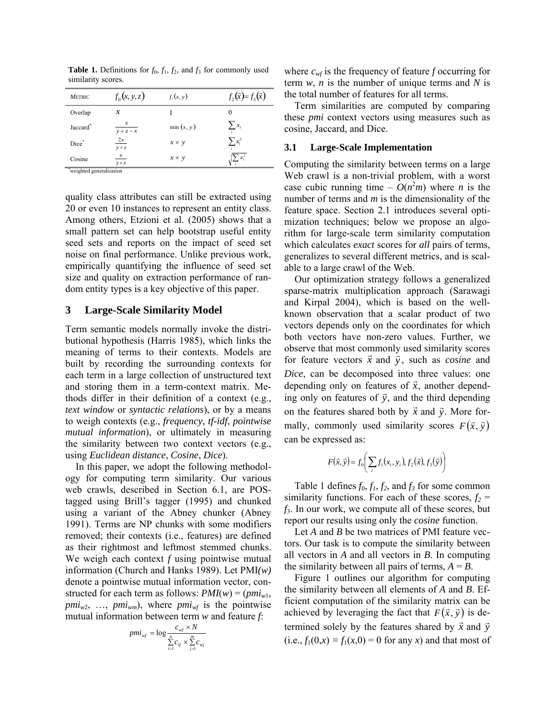| <b>METRIC</b>           | $f_0(x, y, z)$                   | $f_1(x, y)$  | $f_2(\vec{x}) = f_3(\vec{x})$ |
|-------------------------|----------------------------------|--------------|-------------------------------|
| Overlap                 | $\mathcal{X}$                    |              | $\theta$                      |
| Jaccard <sup>*</sup>    | $y + z - x$                      | $\min(x, y)$ | $\sum_i x_i$                  |
| Dice*                   | 2x<br>$y + z$                    | $x \times y$ | $\sum x_i^2$                  |
| Cosine                  | $\boldsymbol{x}$<br>$y \times z$ | $x \times y$ | $\sqrt{\sum x_i^2}$           |
| waighted concretization |                                  |              |                               |

**Table 1.** Definitions for  $f_0$ ,  $f_1$ ,  $f_2$ , and  $f_3$  for commonly used similarity scores.

weighted generalization

quality class attributes can still be extracted using 20 or even 10 instances to represent an entity class. Among others, Etzioni et al. (2005) shows that a small pattern set can help bootstrap useful entity seed sets and reports on the impact of seed set noise on final performance. Unlike previous work, empirically quantifying the influence of seed set size and quality on extraction performance of random entity types is a key objective of this paper.

#### **3 Large-Scale Similarity Model**

Term semantic models normally invoke the distributional hypothesis (Harris 1985), which links the meaning of terms to their contexts. Models are built by recording the surrounding contexts for each term in a large collection of unstructured text and storing them in a term-context matrix. Methods differ in their definition of a context (e.g., *text window* or *syntactic relations*), or by a means to weigh contexts (e.g., *frequency*, *tf-idf*, *pointwise mutual information*), or ultimately in measuring the similarity between two context vectors (e.g., using *Euclidean distance*, *Cosine*, *Dice*).

In this paper, we adopt the following methodology for computing term similarity. Our various web crawls, described in Section 6.1, are POStagged using Brill's tagger (1995) and chunked using a variant of the Abney chunker (Abney 1991). Terms are NP chunks with some modifiers removed; their contexts (i.e., features) are defined as their rightmost and leftmost stemmed chunks. We weigh each context *f* using pointwise mutual information (Church and Hanks 1989). Let PMI*(w)* denote a pointwise mutual information vector, constructed for each term as follows:  $PMI(w) = (pmi_{w1},$  $pmi_{w2}$ , ...,  $pmi_{wm}$ ), where  $pmi_{wf}$  is the pointwise mutual information between term *w* and feature *f*:

$$
pmi_{wf} = \log \frac{c_{wf} \times N}{\sum\limits_{i=1}^{n} c_{if} \times \sum\limits_{j=1}^{m} c_{wj}}
$$

where  $c_{wf}$  is the frequency of feature *f* occurring for term *w*, *n* is the number of unique terms and *N* is the total number of features for all terms.

Term similarities are computed by comparing these *pmi* context vectors using measures such as cosine, Jaccard, and Dice.

#### **3.1 Large-Scale Implementation**

Computing the similarity between terms on a large Web crawl is a non-trivial problem, with a worst case cubic running time  $- O(n^2m)$  where *n* is the number of terms and *m* is the dimensionality of the feature space. Section 2.1 introduces several optimization techniques; below we propose an algorithm for large-scale term similarity computation which calculates *exact* scores for *all* pairs of terms, generalizes to several different metrics, and is scalable to a large crawl of the Web.

Our optimization strategy follows a generalized sparse-matrix multiplication approach (Sarawagi and Kirpal 2004), which is based on the wellknown observation that a scalar product of two vectors depends only on the coordinates for which both vectors have non-zero values. Further, we observe that most commonly used similarity scores for feature vectors  $\vec{x}$  and  $\vec{y}$ , such as *cosine* and *Dice*, can be decomposed into three values: one depending only on features of  $\vec{x}$ , another depending only on features of  $\vec{y}$ , and the third depending on the features shared both by  $\vec{x}$  and  $\vec{y}$ . More formally, commonly used similarity scores  $F(\vec{x}, \vec{y})$ can be expressed as:

$$
F(\vec{x}, \vec{y}) = f_0\bigg(\sum_i f_1(x_i, y_i), f_2(\vec{x}), f_3(\vec{y})\bigg)
$$

Table 1 defines  $f_0, f_1, f_2$ , and  $f_3$  for some common similarity functions. For each of these scores,  $f_2$  = *f*3. In our work, we compute all of these scores, but report our results using only the *cosine* function.

Let *A* and *B* be two matrices of PMI feature vectors. Our task is to compute the similarity between all vectors in *A* and all vectors in *B*. In computing the similarity between all pairs of terms,  $A = B$ .

Figure 1 outlines our algorithm for computing the similarity between all elements of *A* and *B*. Efficient computation of the similarity matrix can be achieved by leveraging the fact that  $F(\vec{x}, \vec{y})$  is determined solely by the features shared by  $\vec{x}$  and  $\vec{y}$ (i.e.,  $f_1(0, x) = f_1(x, 0) = 0$  for any *x*) and that most of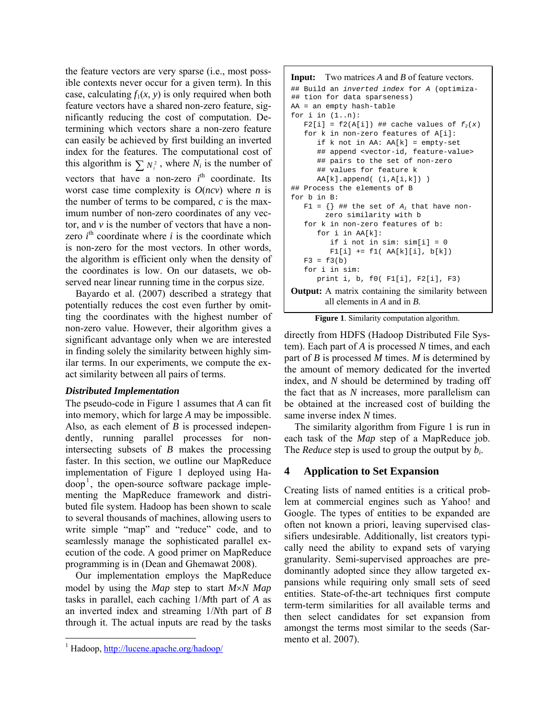the feature vectors are very sparse (i.e., most possible contexts never occur for a given term). In this case, calculating  $f_1(x, y)$  is only required when both feature vectors have a shared non-zero feature, significantly reducing the cost of computation. Determining which vectors share a non-zero feature can easily be achieved by first building an inverted index for the features. The computational cost of this algorithm is  $\sum N_i^2$ , where  $N_i$  is the number of vectors that have a non-zero  $i<sup>th</sup>$  coordinate. Its worst case time complexity is  $O(ncv)$  where *n* is the number of terms to be compared, *c* is the maximum number of non-zero coordinates of any vector, and *v* is the number of vectors that have a nonzero  $i^{\text{th}}$  coordinate where  $i$  is the coordinate which is non-zero for the most vectors. In other words, the algorithm is efficient only when the density of the coordinates is low. On our datasets, we observed near linear running time in the corpus size.

Bayardo et al. (2007) described a strategy that potentially reduces the cost even further by omitting the coordinates with the highest number of non-zero value. However, their algorithm gives a significant advantage only when we are interested in finding solely the similarity between highly similar terms. In our experiments, we compute the exact similarity between all pairs of terms.

# *Distributed Implementation*

The pseudo-code in Figure 1 assumes that *A* can fit into memory, which for large *A* may be impossible. Also, as each element of *B* is processed independently, running parallel processes for nonintersecting subsets of *B* makes the processing faster. In this section, we outline our MapReduce implementation of Figure 1 deployed using Hadoop<sup>1</sup> , the open-source software package implementing the MapReduce framework and distributed file system. Hadoop has been shown to scale to several thousands of machines, allowing users to write simple "map" and "reduce" code, and to seamlessly manage the sophisticated parallel execution of the code. A good primer on MapReduce programming is in (Dean and Ghemawat 2008).

Our implementation employs the MapReduce model by using the *Map* step to start *M*×*N Map* tasks in parallel, each caching 1/*M*th part of *A* as an inverted index and streaming 1/*N*th part of *B* through it. The actual inputs are read by the tasks

#### **Input:** Two matrices *A* and *B* of feature vectors.

```
## Build an inverted index for A (optimiza- 
## tion for data sparseness) 
AA = an empty hash-table 
for i in (1..n): 
   F2[i] = f2(A[i]) ## cache values of f_2(x) for k in non-zero features of A[i]: 
       if k not in AA: AA[k] = empty-set 
       ## append <vector-id, feature-value> 
       ## pairs to the set of non-zero 
       ## values for feature k 
       AA[k].append( (i,A[i,k]) ) 
## Process the elements of B 
for b in B: 
   F1 = \{\} ## the set of A_i that have non-
        zero similarity with b 
    for k in non-zero features of b: 
       for i in AA[k]: 
         if i not in sim: sim[i] = 0F1[i] += f1(AA[k][i], b[k])F3 = f3(b) for i in sim: 
       print i, b, f0( F1[i], F2[i], F3) 
Output: A matrix containing the similarity between
        all elements in A and in B.
```
**Figure 1**. Similarity computation algorithm.

directly from HDFS (Hadoop Distributed File System). Each part of *A* is processed *N* times, and each part of *B* is processed *M* times. *M* is determined by the amount of memory dedicated for the inverted index, and *N* should be determined by trading off the fact that as *N* increases, more parallelism can be obtained at the increased cost of building the same inverse index *N* times.

The similarity algorithm from Figure 1 is run in each task of the *Map* step of a MapReduce job. The *Reduce* step is used to group the output by *bi*.

# **4 Application to Set Expansion**

Creating lists of named entities is a critical problem at commercial engines such as Yahoo! and Google. The types of entities to be expanded are often not known a priori, leaving supervised classifiers undesirable. Additionally, list creators typically need the ability to expand sets of varying granularity. Semi-supervised approaches are predominantly adopted since they allow targeted expansions while requiring only small sets of seed entities. State-of-the-art techniques first compute term-term similarities for all available terms and then select candidates for set expansion from amongst the terms most similar to the seeds (Sarmento et al. 2007).

<sup>&</sup>lt;sup>1</sup> Hadoop, http://lucene.apache.org/hadoop/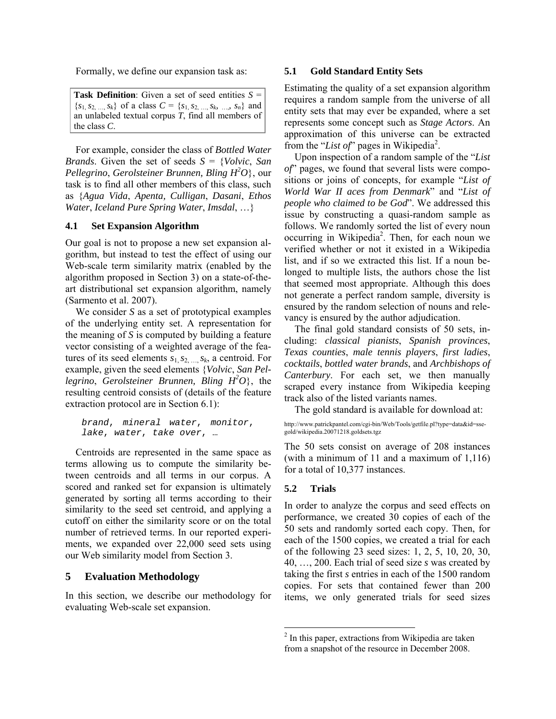Formally, we define our expansion task as:

**Task Definition**: Given a set of seed entities  $S =$  ${s_1, s_2, ..., s_k}$  of a class  $C = {s_1, s_2, ..., s_k, ..., s_n}$  and an unlabeled textual corpus *T*, find all members of the class *C*.

For example, consider the class of *Bottled Water Brands*. Given the set of seeds *S* = {*Volvic*, *San Pellegrino*, *Gerolsteiner Brunnen, Bling H2 O*}, our task is to find all other members of this class, such as {*Agua Vida*, *Apenta, Culligan*, *Dasani*, *Ethos Water*, *Iceland Pure Spring Water*, *Imsdal*, …}

### **4.1 Set Expansion Algorithm**

Our goal is not to propose a new set expansion algorithm, but instead to test the effect of using our Web-scale term similarity matrix (enabled by the algorithm proposed in Section 3) on a state-of-theart distributional set expansion algorithm, namely (Sarmento et al. 2007).

We consider *S* as a set of prototypical examples of the underlying entity set. A representation for the meaning of *S* is computed by building a feature vector consisting of a weighted average of the features of its seed elements  $s_1, s_2, \ldots, s_k$ , a centroid. For example, given the seed elements {*Volvic*, *San Pel*legrino, Gerolsteiner Brunnen, Bling  $H^2O$ , the resulting centroid consists of (details of the feature extraction protocol are in Section 6.1):

```
brand, mineral water, monitor, 
lake, water, take over, …
```
Centroids are represented in the same space as terms allowing us to compute the similarity between centroids and all terms in our corpus. A scored and ranked set for expansion is ultimately generated by sorting all terms according to their similarity to the seed set centroid, and applying a cutoff on either the similarity score or on the total number of retrieved terms. In our reported experiments, we expanded over 22,000 seed sets using our Web similarity model from Section 3.

### **5 Evaluation Methodology**

In this section, we describe our methodology for evaluating Web-scale set expansion.

#### **5.1 Gold Standard Entity Sets**

Estimating the quality of a set expansion algorithm requires a random sample from the universe of all entity sets that may ever be expanded, where a set represents some concept such as *Stage Actors*. An approximation of this universe can be extracted from the "List of" pages in Wikipedia<sup>2</sup>.

Upon inspection of a random sample of the "*List of*" pages, we found that several lists were compositions or joins of concepts, for example "*List of World War II aces from Denmark*" and "*List of people who claimed to be God*". We addressed this issue by constructing a quasi-random sample as follows. We randomly sorted the list of every noun occurring in Wikipedia<sup>2</sup>. Then, for each noun we verified whether or not it existed in a Wikipedia list, and if so we extracted this list. If a noun belonged to multiple lists, the authors chose the list that seemed most appropriate. Although this does not generate a perfect random sample, diversity is ensured by the random selection of nouns and relevancy is ensured by the author adjudication.

The final gold standard consists of 50 sets, including: *classical pianists*, *Spanish provinces*, *Texas counties*, *male tennis players*, *first ladies*, *cocktails*, *bottled water brands*, and *Archbishops of Canterbury*. For each set, we then manually scraped every instance from Wikipedia keeping track also of the listed variants names.

The gold standard is available for download at:

http://www.patrickpantel.com/cgi-bin/Web/Tools/getfile.pl?type=data&id=ssegold/wikipedia.20071218.goldsets.tgz

The 50 sets consist on average of 208 instances (with a minimum of 11 and a maximum of 1,116) for a total of 10,377 instances.

### **5.2 Trials**

In order to analyze the corpus and seed effects on performance, we created 30 copies of each of the 50 sets and randomly sorted each copy. Then, for each of the 1500 copies, we created a trial for each of the following 23 seed sizes: 1, 2, 5, 10, 20, 30, 40, …, 200. Each trial of seed size *s* was created by taking the first *s* entries in each of the 1500 random copies. For sets that contained fewer than 200 items, we only generated trials for seed sizes

<sup>&</sup>lt;sup>2</sup> In this paper, extractions from Wikipedia are taken from a snapshot of the resource in December 2008.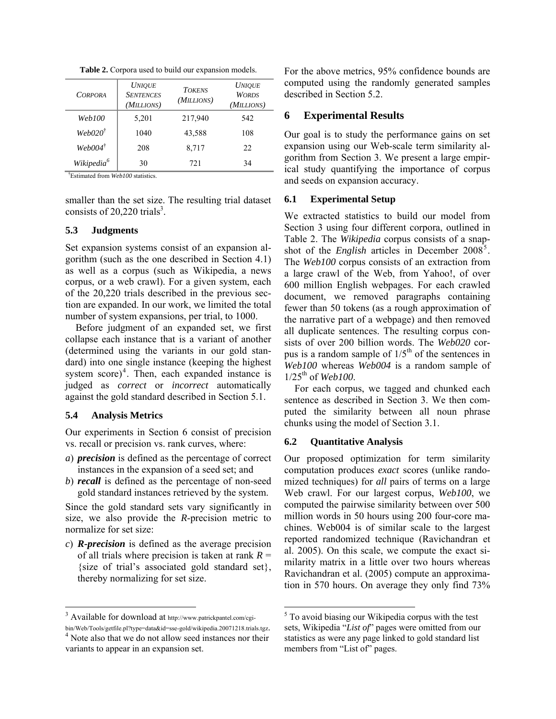| <b>CORPORA</b>         | <b>UNIOUE</b><br><b>SENTENCES</b><br>(MILLIONS) | <b>TOKENS</b><br>(MILLIONS) | <b>UNIOUE</b><br><b>WORDS</b><br>(MILLIONS) |
|------------------------|-------------------------------------------------|-----------------------------|---------------------------------------------|
| Web100                 | 5,201                                           | 217,940                     | 542                                         |
| $WebO2O^{\dagger}$     | 1040                                            | 43,588                      | 108                                         |
| $WebOO4^{\dagger}$     | 208                                             | 8,717                       | 22                                          |
| Wikipedia <sup>6</sup> | 30                                              | 721                         | 34                                          |

**Table 2.** Corpora used to build our expansion models.

† Estimated from *Web100* statistics.

smaller than the set size. The resulting trial dataset consists of  $20,220$  trials<sup>3</sup>.

### **5.3 Judgments**

Set expansion systems consist of an expansion algorithm (such as the one described in Section 4.1) as well as a corpus (such as Wikipedia, a news corpus, or a web crawl). For a given system, each of the 20,220 trials described in the previous section are expanded. In our work, we limited the total number of system expansions, per trial, to 1000.

Before judgment of an expanded set, we first collapse each instance that is a variant of another (determined using the variants in our gold standard) into one single instance (keeping the highest system  $score$ <sup>4</sup>. Then, each expanded instance is judged as *correct* or *incorrect* automatically against the gold standard described in Section 5.1.

# **5.4 Analysis Metrics**

Our experiments in Section 6 consist of precision vs. recall or precision vs. rank curves, where:

- *a*) *precision* is defined as the percentage of correct instances in the expansion of a seed set; and
- *b*) *recall* is defined as the percentage of non-seed gold standard instances retrieved by the system.

Since the gold standard sets vary significantly in size, we also provide the *R*-precision metric to normalize for set size:

*c*) *R-precision* is defined as the average precision of all trials where precision is taken at rank  $R =$ {size of trial's associated gold standard set}, thereby normalizing for set size.

For the above metrics, 95% confidence bounds are computed using the randomly generated samples described in Section 5.2.

### **6 Experimental Results**

Our goal is to study the performance gains on set expansion using our Web-scale term similarity algorithm from Section 3. We present a large empirical study quantifying the importance of corpus and seeds on expansion accuracy.

### **6.1 Experimental Setup**

We extracted statistics to build our model from Section 3 using four different corpora, outlined in Table 2. The *Wikipedia* corpus consists of a snapshot of the *English* articles in December  $2008^5$ . The *Web100* corpus consists of an extraction from a large crawl of the Web, from Yahoo!, of over 600 million English webpages. For each crawled document, we removed paragraphs containing fewer than 50 tokens (as a rough approximation of the narrative part of a webpage) and then removed all duplicate sentences. The resulting corpus consists of over 200 billion words. The *Web020* corpus is a random sample of  $1/5<sup>th</sup>$  of the sentences in *Web100* whereas *Web004* is a random sample of 1/25th of *Web100*.

For each corpus, we tagged and chunked each sentence as described in Section 3. We then computed the similarity between all noun phrase chunks using the model of Section 3.1.

# **6.2 Quantitative Analysis**

Our proposed optimization for term similarity computation produces *exact* scores (unlike randomized techniques) for *all* pairs of terms on a large Web crawl. For our largest corpus, *Web100*, we computed the pairwise similarity between over 500 million words in 50 hours using 200 four-core machines. Web004 is of similar scale to the largest reported randomized technique (Ravichandran et al. 2005). On this scale, we compute the exact similarity matrix in a little over two hours whereas Ravichandran et al. (2005) compute an approximation in 570 hours. On average they only find 73%

<sup>&</sup>lt;sup>3</sup> Available for download at http://www.patrickpantel.com/cgi-

bin/Web/Tools/getfile.pl?type=data&id=sse-gold/wikipedia.20071218.trials.tgz. <sup>4</sup> Note also that we do not allow seed instances nor their variants to appear in an expansion set.

 $5$  To avoid biasing our Wikipedia corpus with the test sets, Wikipedia "*List of*" pages were omitted from our statistics as were any page linked to gold standard list members from "List of" pages.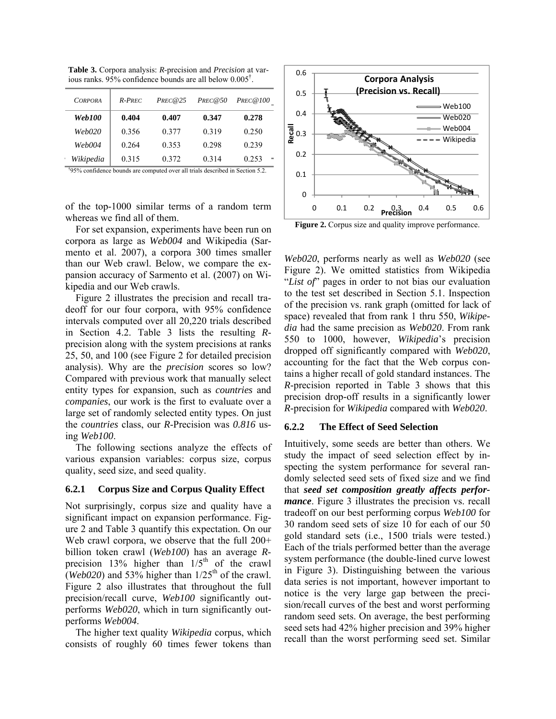*CORPORA R-PREC PREC@25 PREC@50 PREC@100 CORPORA R-PREC PREC@25 PREC@50 PREC@100 Web100* **0.404 0.407 0.347 0.278**  *Web020* 0.356 0.377 0.319 0.250 *Web004* 0.264 0.353 0.298 0.239 *Wikipedia* **0.315** 0.323 0.330 0.333 † *Wikipedia* 0.315 0.372 0.314 0.253  $W$ the confidence bounds are computed in Section  $V$  and  $V$  and  $V$  and  $V$  and  $V$  and  $V$  and  $V$  and  $V$  and  $V$  and  $V$  and  $V$  and  $V$  and  $V$  and  $V$  and  $V$  and  $V$  and  $V$  and  $V$  and  $V$  and  $V$  and  $V$  and  $V$  *Web100* **0.404 0.407 0.347 0.278**  *Web020* | 0.356 0.377 0.319 0.250 *Web004* 0.264 0.353 0.298 0.239

**Table 3.** Corpora analysis: *R*-precision and *Precision* at various ranks. 95% confidence bounds are all below 0.005† .

† 95% confidence bounds are computed over all trials described in Section 5.2.

of the top-1000 similar terms of a random term whereas we find all of them.

For set expansion, experiments have been run on corpora as large as *Web004* and Wikipedia (Sarmento et al. 2007), a corpora 300 times smaller than our Web crawl. Below, we compare the expansion accuracy of Sarmento et al. (2007) on Wikipedia and our Web crawls.

Figure 2 illustrates the precision and recall tradeoff for our four corpora, with 95% confidence intervals computed over all 20,220 trials described in Section 4.2. Table 3 lists the resulting *R*precision along with the system precisions at ranks 25, 50, and 100 (see Figure 2 for detailed precision analysis). Why are the *precision* scores so low? Compared with previous work that manually select entity types for expansion, such as *countries* and *companies*, our work is the first to evaluate over a large set of randomly selected entity types. On just the *countries* class, our *R*-Precision was *0.816* using *Web100*.

The following sections analyze the effects of various expansion variables: corpus size, corpus quality, seed size, and seed quality.

### **6.2.1 Corpus Size and Corpus Quality Effect**

Not surprisingly, corpus size and quality have a significant impact on expansion performance. Figure 2 and Table 3 quantify this expectation. On our Web crawl corpora, we observe that the full  $200+$ billion token crawl (*Web100*) has an average *R*precision 13% higher than  $1/5<sup>th</sup>$  of the crawl (*Web020*) and 53% higher than  $1/25<sup>th</sup>$  of the crawl. Figure 2 also illustrates that throughout the full precision/recall curve, *Web100* significantly outperforms *Web020*, which in turn significantly outperforms *Web004*.

The higher text quality *Wikipedia* corpus, which consists of roughly 60 times fewer tokens than



**Figure 2.** Corpus size and quality improve performance.

*Web020*, performs nearly as well as *Web020* (see Figure 2). We omitted statistics from Wikipedia "*List of*" pages in order to not bias our evaluation to the test set described in Section 5.1. Inspection of the precision vs. rank graph (omitted for lack of space) revealed that from rank 1 thru 550, *Wikipedia* had the same precision as *Web020*. From rank 550 to 1000, however, *Wikipedia*'s precision dropped off significantly compared with *Web020*, accounting for the fact that the Web corpus contains a higher recall of gold standard instances. The *R*-precision reported in Table 3 shows that this precision drop-off results in a significantly lower *R*-precision for *Wikipedia* compared with *Web020*.

### **6.2.2 The Effect of Seed Selection**

Intuitively, some seeds are better than others. We study the impact of seed selection effect by inspecting the system performance for several randomly selected seed sets of fixed size and we find that *seed set composition greatly affects performance*. Figure 3 illustrates the precision vs. recall tradeoff on our best performing corpus *Web100* for 30 random seed sets of size 10 for each of our 50 gold standard sets (i.e., 1500 trials were tested.) Each of the trials performed better than the average system performance (the double-lined curve lowest in Figure 3). Distinguishing between the various data series is not important, however important to notice is the very large gap between the precision/recall curves of the best and worst performing random seed sets. On average, the best performing seed sets had 42% higher precision and 39% higher recall than the worst performing seed set. Similar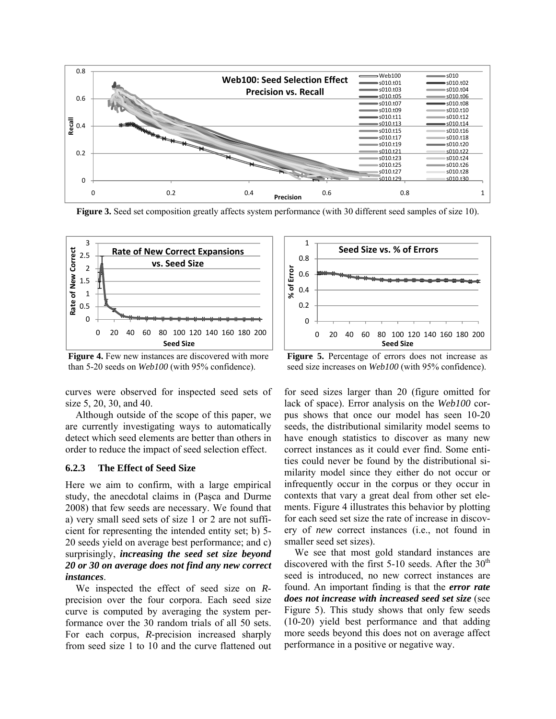

**Figure 3.** Seed set composition greatly affects system performance (with 30 different seed samples of size 10).



**Figure 4.** Few new instances are discovered with more than 5-20 seeds on *Web100* (with 95% confidence).

curves were observed for inspected seed sets of size 5, 20, 30, and 40.

Although outside of the scope of this paper, we are currently investigating ways to automatically detect which seed elements are better than others in order to reduce the impact of seed selection effect.

#### **6.2.3 The Effect of Seed Size**

Here we aim to confirm, with a large empirical study, the anecdotal claims in (Paşca and Durme 2008) that few seeds are necessary. We found that a) very small seed sets of size 1 or 2 are not sufficient for representing the intended entity set; b) 5- 20 seeds yield on average best performance; and c) surprisingly, *increasing the seed set size beyond 20 or 30 on average does not find any new correct instances*.

We inspected the effect of seed size on *R*precision over the four corpora. Each seed size curve is computed by averaging the system performance over the 30 random trials of all 50 sets. For each corpus, *R*-precision increased sharply from seed size 1 to 10 and the curve flattened out



**Figure 5.** Percentage of errors does not increase as seed size increases on *Web100* (with 95% confidence).

for seed sizes larger than 20 (figure omitted for lack of space). Error analysis on the *Web100* corpus shows that once our model has seen 10-20 seeds, the distributional similarity model seems to have enough statistics to discover as many new correct instances as it could ever find. Some entities could never be found by the distributional similarity model since they either do not occur or infrequently occur in the corpus or they occur in contexts that vary a great deal from other set elements. Figure 4 illustrates this behavior by plotting for each seed set size the rate of increase in discovery of *new* correct instances (i.e., not found in smaller seed set sizes).

We see that most gold standard instances are discovered with the first 5-10 seeds. After the  $30<sup>th</sup>$ seed is introduced, no new correct instances are found. An important finding is that the *error rate does not increase with increased seed set size* (see Figure 5). This study shows that only few seeds (10-20) yield best performance and that adding more seeds beyond this does not on average affect performance in a positive or negative way.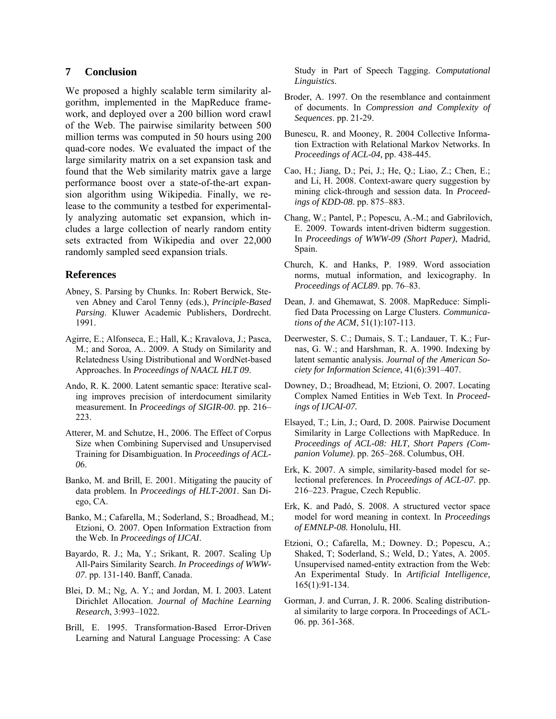### **7 Conclusion**

We proposed a highly scalable term similarity algorithm, implemented in the MapReduce framework, and deployed over a 200 billion word crawl of the Web. The pairwise similarity between 500 million terms was computed in 50 hours using 200 quad-core nodes. We evaluated the impact of the large similarity matrix on a set expansion task and found that the Web similarity matrix gave a large performance boost over a state-of-the-art expansion algorithm using Wikipedia. Finally, we release to the community a testbed for experimentally analyzing automatic set expansion, which includes a large collection of nearly random entity sets extracted from Wikipedia and over 22,000 randomly sampled seed expansion trials.

### **References**

- Abney, S. Parsing by Chunks. In: Robert Berwick, Steven Abney and Carol Tenny (eds.), *Principle-Based Parsing*. Kluwer Academic Publishers, Dordrecht. 1991.
- Agirre, E.; Alfonseca, E.; Hall, K.; Kravalova, J.; Pasca, M.; and Soroa, A.. 2009. A Study on Similarity and Relatedness Using Distributional and WordNet-based Approaches. In *Proceedings of NAACL HLT 09*.
- Ando, R. K. 2000. Latent semantic space: Iterative scaling improves precision of interdocument similarity measurement. In *Proceedings of SIGIR-00*. pp. 216– 223.
- Atterer, M. and Schutze, H., 2006. The Effect of Corpus Size when Combining Supervised and Unsupervised Training for Disambiguation. In *Proceedings of ACL-0*6.
- Banko, M. and Brill, E. 2001. Mitigating the paucity of data problem. In *Proceedings of HLT-2001*. San Diego, CA.
- Banko, M.; Cafarella, M.; Soderland, S.; Broadhead, M.; Etzioni, O. 2007. Open Information Extraction from the Web. In *Proceedings of IJCAI*.
- Bayardo, R. J.; Ma, Y.; Srikant, R. 2007. Scaling Up All-Pairs Similarity Search. *In Proceedings of WWW-07*. pp. 131-140. Banff, Canada.
- Blei, D. M.; Ng, A. Y.; and Jordan, M. I. 2003. Latent Dirichlet Allocation. *Journal of Machine Learning Research*, 3:993–1022.
- Brill, E. 1995. Transformation-Based Error-Driven Learning and Natural Language Processing: A Case

Study in Part of Speech Tagging. *Computational Linguistics*.

- Broder, A. 1997. On the resemblance and containment of documents. In *Compression and Complexity of Sequences*. pp. 21-29.
- Bunescu, R. and Mooney, R. 2004 Collective Information Extraction with Relational Markov Networks. In *Proceedings of ACL-04,* pp. 438-445.
- Cao, H.; Jiang, D.; Pei, J.; He, Q.; Liao, Z.; Chen, E.; and Li, H. 2008. Context-aware query suggestion by mining click-through and session data. In *Proceedings of KDD-08*. pp. 875–883.
- Chang, W.; Pantel, P.; Popescu, A.-M.; and Gabrilovich, E. 2009. Towards intent-driven bidterm suggestion. In *Proceedings of WWW-09 (Short Paper)*, Madrid, Spain.
- Church, K. and Hanks, P. 1989. Word association norms, mutual information, and lexicography. In *Proceedings of ACL89*. pp. 76–83.
- Dean, J. and Ghemawat, S. 2008. MapReduce: Simplified Data Processing on Large Clusters. *Communications of the ACM*, 51(1):107-113.
- Deerwester, S. C.; Dumais, S. T.; Landauer, T. K.; Furnas, G. W.; and Harshman, R. A. 1990. Indexing by latent semantic analysis. *Journal of the American Society for Information Science*, 41(6):391–407.
- Downey, D.; Broadhead, M; Etzioni, O. 2007. Locating Complex Named Entities in Web Text. In *Proceedings of IJCAI-07.*
- Elsayed, T.; Lin, J.; Oard, D. 2008. Pairwise Document Similarity in Large Collections with MapReduce. In *Proceedings of ACL-08: HLT, Short Papers (Companion Volume)*. pp. 265–268. Columbus, OH.
- Erk, K. 2007. A simple, similarity-based model for selectional preferences. In *Proceedings of ACL-07*. pp. 216–223. Prague, Czech Republic.
- Erk, K. and Padó, S. 2008. A structured vector space model for word meaning in context. In *Proceedings of EMNLP-08.* Honolulu, HI.
- Etzioni, O.; Cafarella, M.; Downey. D.; Popescu, A.; Shaked, T; Soderland, S.; Weld, D.; Yates, A. 2005. Unsupervised named-entity extraction from the Web: An Experimental Study. In *Artificial Intelligence,* 165(1):91-134.
- Gorman, J. and Curran, J. R. 2006. Scaling distributional similarity to large corpora. In Proceedings of ACL-06. pp. 361-368.